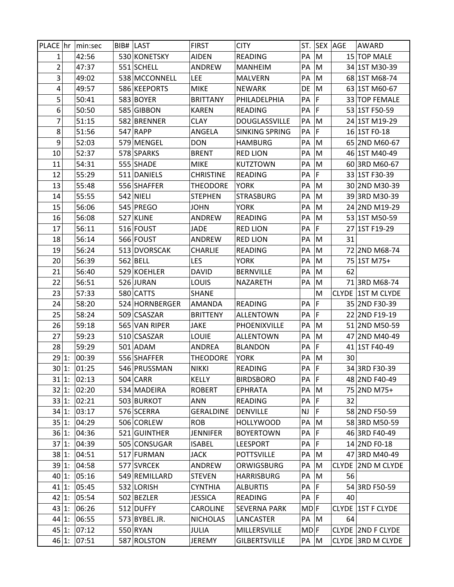| PLACE hr |          | min:sec     | <b>BIB# LAST</b> |                | <b>FIRST</b>     | <b>CITY</b>           | ST.             |             | <b>SEX AGE</b> | AWARD                    |
|----------|----------|-------------|------------------|----------------|------------------|-----------------------|-----------------|-------------|----------------|--------------------------|
| 1        |          | 42:56       |                  | 530 KONETSKY   | <b>AIDEN</b>     | <b>READING</b>        | PA              | M           |                | 15 TOP MALE              |
| 2        |          | 47:37       |                  | 551 SCHELL     | ANDREW           | <b>MANHEIM</b>        | PA              | M           |                | 34 1ST M30-39            |
| 3        |          | 49:02       |                  | 538 MCCONNELL  | <b>LEE</b>       | <b>MALVERN</b>        | PA              | M           |                | 68 1ST M68-74            |
| 4        |          | 49:57       |                  | 586 KEEPORTS   | <b>MIKE</b>      | <b>NEWARK</b>         | DE              | M           |                | 63 1ST M60-67            |
| 5        |          | 50:41       |                  | 583 BOYER      | <b>BRITTANY</b>  | PHILADELPHIA          | PA              | F           |                | 33 TOP FEMALE            |
| 6        |          | 50:50       |                  | 585 GIBBON     | <b>KAREN</b>     | READING               | PA              | F           |                | 53 1ST F50-59            |
| 7        |          | 51:15       |                  | 582 BRENNER    | <b>CLAY</b>      | <b>DOUGLASSVILLE</b>  | PA              | M           |                | 24 1ST M19-29            |
| 8        |          | 51:56       |                  | 547 RAPP       | ANGELA           | <b>SINKING SPRING</b> | PA              | F           |                | 16 1ST F0-18             |
| 9        |          | 52:03       |                  | 579 MENGEL     | <b>DON</b>       | <b>HAMBURG</b>        | PA              | M           |                | 65 2ND M60-67            |
| 10       |          | 52:37       |                  | 578 SPARKS     | <b>BRENT</b>     | <b>RED LION</b>       | PA              | M           |                | 46 1ST M40-49            |
| 11       |          | 54:31       |                  | 555 SHADE      | <b>MIKE</b>      | <b>KUTZTOWN</b>       | PA              | M           |                | 60 3RD M60-67            |
| 12       |          | 55:29       |                  | 511 DANIELS    | <b>CHRISTINE</b> | <b>READING</b>        | PA              | F           |                | 33 1ST F30-39            |
| 13       |          | 55:48       |                  | 556 SHAFFER    | <b>THEODORE</b>  | <b>YORK</b>           | PA              | M           |                | 30 2ND M30-39            |
| 14       |          | 55:55       |                  | 542 NIELI      | <b>STEPHEN</b>   | <b>STRASBURG</b>      | PA              | M           |                | 39 3RD M30-39            |
| 15       |          | 56:06       |                  | 545 PREGO      | <b>JOHN</b>      | <b>YORK</b>           | PA              | M           |                | 24 2ND M19-29            |
| 16       |          | 56:08       |                  | 527 KLINE      | ANDREW           | <b>READING</b>        | PA              | M           |                | 53 1ST M50-59            |
| 17       |          | 56:11       |                  | 516 FOUST      | JADE             | <b>RED LION</b>       | PA              | F           |                | 27 1ST F19-29            |
| 18       |          | 56:14       |                  | 566 FOUST      | ANDREW           | <b>RED LION</b>       | PA              | M           | 31             |                          |
| 19       |          | 56:24       |                  | 513 DVORSCAK   | <b>CHARLIE</b>   | <b>READING</b>        | PA              | M           |                | 72 2ND M68-74            |
| 20       |          | 56:39       |                  | 562 BELL       | <b>LES</b>       | <b>YORK</b>           | PA              | M           |                | 75 1ST M75+              |
| 21       |          | 56:40       |                  | 529 KOEHLER    | <b>DAVID</b>     | <b>BERNVILLE</b>      | PA              | M           | 62             |                          |
| 22       |          | 56:51       |                  | 526 JURAN      | LOUIS            | NAZARETH              | PA              | M           |                | 71 3RD M68-74            |
| 23       |          | 57:33       |                  | 580 CATTS      | <b>SHANE</b>     |                       |                 | M           |                | CLYDE 1ST M CLYDE        |
| 24       |          | 58:20       |                  | 524 HORNBERGER | AMANDA           | <b>READING</b>        | PA              | F           |                | 35 2ND F30-39            |
| 25       |          | 58:24       |                  | 509 CSASZAR    | <b>BRITTENY</b>  | ALLENTOWN             | PA              | F           |                | 22 2ND F19-19            |
| 26       |          | 59:18       |                  | 565 VAN RIPER  | <b>JAKE</b>      | PHOENIXVILLE          | PA              | M           |                | 51 2ND M50-59            |
| 27       |          | 59:23       |                  | 510 CSASZAR    | <b>LOUIE</b>     | <b>ALLENTOWN</b>      | PA              | M           |                | 47 2ND M40-49            |
| 28       |          | 59:29       |                  | 501 ADAM       | ANDREA           | <b>BLANDON</b>        | PA              | $\mathsf F$ |                | 41 1ST F40-49            |
| 29 1:    |          | 00:39       |                  | 556 SHAFFER    | <b>THEODORE</b>  | <b>YORK</b>           | PA              | M           | 30             |                          |
|          | 30 1:    | 01:25       |                  | 546 PRUSSMAN   | <b>NIKKI</b>     | <b>READING</b>        | PA F            |             |                | 34 3RD F30-39            |
|          | 31 1:    | 02:13       |                  | $504$ CARR     | KELLY            | <b>BIRDSBORO</b>      | PA F            |             |                | 48 2ND F40-49            |
|          |          | 32 1: 02:20 |                  | 534 MADEIRA    | <b>ROBERT</b>    | EPHRATA               | PA              | M           |                | 75 2ND M75+              |
|          | $33 1$ : | 02:21       |                  | 503 BURKOT     | ANN              | READING               | PA              | F           | 32             |                          |
|          | $34 1$ : | 03:17       |                  | 576 SCERRA     | <b>GERALDINE</b> | <b>DENVILLE</b>       | <b>NJ</b>       | F           |                | 58 2ND F50-59            |
|          | 35 1:    | 04:29       |                  | 506 CORLEW     | <b>ROB</b>       | <b>HOLLYWOOD</b>      | PA              | M           |                | 58 3RD M50-59            |
|          | $36 1$ : | 04:36       |                  | 521 GUINTHER   | <b>JENNIFER</b>  | <b>BOYERTOWN</b>      | PA              | F           |                | 46 3RD F40-49            |
|          | 37 1:    | 04:39       |                  | 505 CONSUGAR   | <b>ISABEL</b>    | LEESPORT              | PA              | F           |                | 14 2ND F0-18             |
|          | 38 1:    | 04:51       |                  | 517 FURMAN     | <b>JACK</b>      | <b>POTTSVILLE</b>     | PA              | M           |                | 47 3RD M40-49            |
|          | 39 1:    | 04:58       |                  | 577 SVRCEK     | ANDREW           | ORWIGSBURG            | PA              | M           |                | CLYDE 2ND M CLYDE        |
|          | 40 1:    | 05:16       |                  | 549 REMILLARD  | <b>STEVEN</b>    | HARRISBURG            | PA              | M           | 56             |                          |
|          | $41 1$ : | 05:45       |                  | 532 LORISH     | <b>CYNTHIA</b>   | <b>ALBURTIS</b>       | PA              | F           |                | 54 3RD F50-59            |
|          | $42 1$ : | 05:54       |                  | 502 BEZLER     | <b>JESSICA</b>   | READING               | PA              | F           | 40             |                          |
|          | 43 1:    | 06:26       |                  | 512 DUFFY      | CAROLINE         | <b>SEVERNA PARK</b>   | MD <sub>F</sub> |             |                | <b>CLYDE 1ST F CLYDE</b> |
| $44 1$ : |          | 06:55       |                  | 573 BYBEL JR.  | <b>NICHOLAS</b>  | LANCASTER             | PA M            |             | 64             |                          |
|          | $45 1$ : | 07:12       |                  | 550 RYAN       | <b>JULIA</b>     | MILLERSVILLE          | $MD$ F          |             |                | CLYDE   2ND F CLYDE      |
|          | $46 1$ : | 07:51       |                  | 587 ROLSTON    | JEREMY           | <b>GILBERTSVILLE</b>  | PA M            |             |                | CLYDE 3RD M CLYDE        |